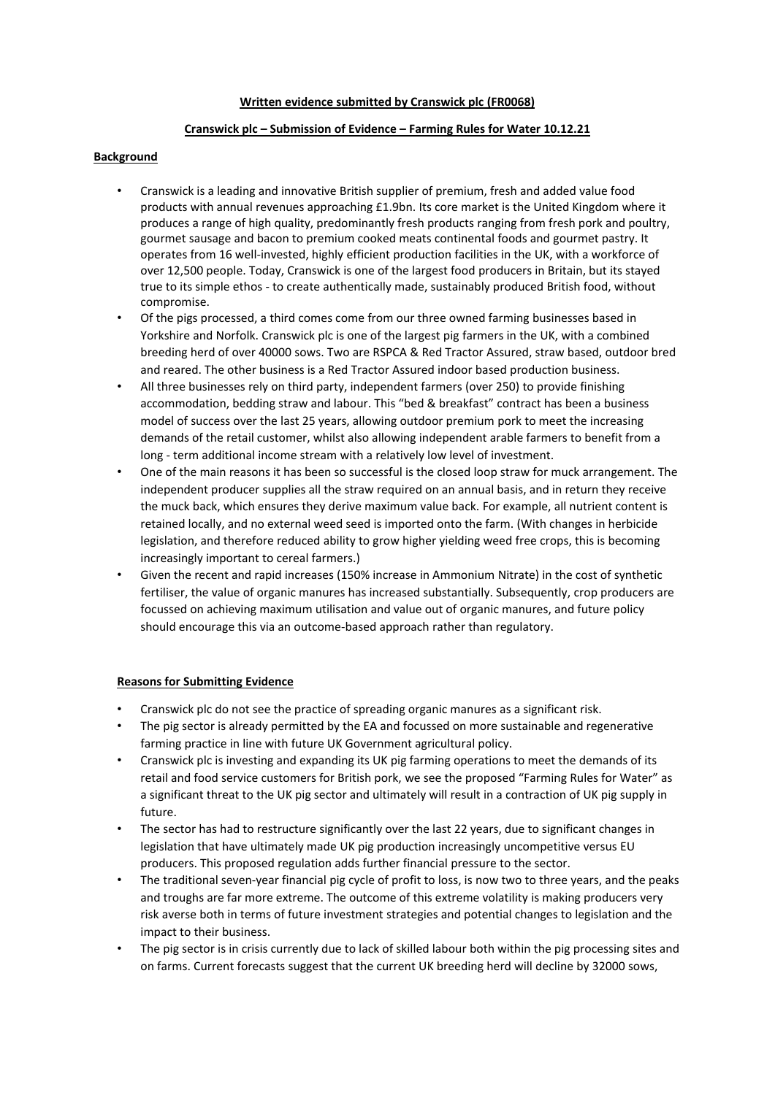#### **Written evidence submitted by Cranswick plc (FR0068)**

# **Cranswick plc – Submission of Evidence – Farming Rules for Water 10.12.21**

## **Background**

- Cranswick is a leading and innovative British supplier of premium, fresh and added value food products with annual revenues approaching £1.9bn. Its core market is the United Kingdom where it produces a range of high quality, predominantly fresh products ranging from fresh pork and poultry, gourmet sausage and bacon to premium cooked meats continental foods and gourmet pastry. It operates from 16 well-invested, highly efficient production facilities in the UK, with a workforce of over 12,500 people. Today, Cranswick is one of the largest food producers in Britain, but its stayed true to its simple ethos - to create authentically made, sustainably produced British food, without compromise.
- Of the pigs processed, a third comes come from our three owned farming businesses based in Yorkshire and Norfolk. Cranswick plc is one of the largest pig farmers in the UK, with a combined breeding herd of over 40000 sows. Two are RSPCA & Red Tractor Assured, straw based, outdoor bred and reared. The other business is a Red Tractor Assured indoor based production business.
- All three businesses rely on third party, independent farmers (over 250) to provide finishing accommodation, bedding straw and labour. This "bed & breakfast" contract has been a business model of success over the last 25 years, allowing outdoor premium pork to meet the increasing demands of the retail customer, whilst also allowing independent arable farmers to benefit from a long - term additional income stream with a relatively low level of investment.
- One of the main reasons it has been so successful is the closed loop straw for muck arrangement. The independent producer supplies all the straw required on an annual basis, and in return they receive the muck back, which ensures they derive maximum value back. For example, all nutrient content is retained locally, and no external weed seed is imported onto the farm. (With changes in herbicide legislation, and therefore reduced ability to grow higher yielding weed free crops, this is becoming increasingly important to cereal farmers.)
- Given the recent and rapid increases (150% increase in Ammonium Nitrate) in the cost of synthetic fertiliser, the value of organic manures has increased substantially. Subsequently, crop producers are focussed on achieving maximum utilisation and value out of organic manures, and future policy should encourage this via an outcome-based approach rather than regulatory.

# **Reasons for Submitting Evidence**

- Cranswick plc do not see the practice of spreading organic manures as a significant risk.
- The pig sector is already permitted by the EA and focussed on more sustainable and regenerative farming practice in line with future UK Government agricultural policy.
- Cranswick plc is investing and expanding its UK pig farming operations to meet the demands of its retail and food service customers for British pork, we see the proposed "Farming Rules for Water" as a significant threat to the UK pig sector and ultimately will result in a contraction of UK pig supply in future.
- The sector has had to restructure significantly over the last 22 years, due to significant changes in legislation that have ultimately made UK pig production increasingly uncompetitive versus EU producers. This proposed regulation adds further financial pressure to the sector.
- The traditional seven-year financial pig cycle of profit to loss, is now two to three years, and the peaks and troughs are far more extreme. The outcome of this extreme volatility is making producers very risk averse both in terms of future investment strategies and potential changes to legislation and the impact to their business.
- The pig sector is in crisis currently due to lack of skilled labour both within the pig processing sites and on farms. Current forecasts suggest that the current UK breeding herd will decline by 32000 sows,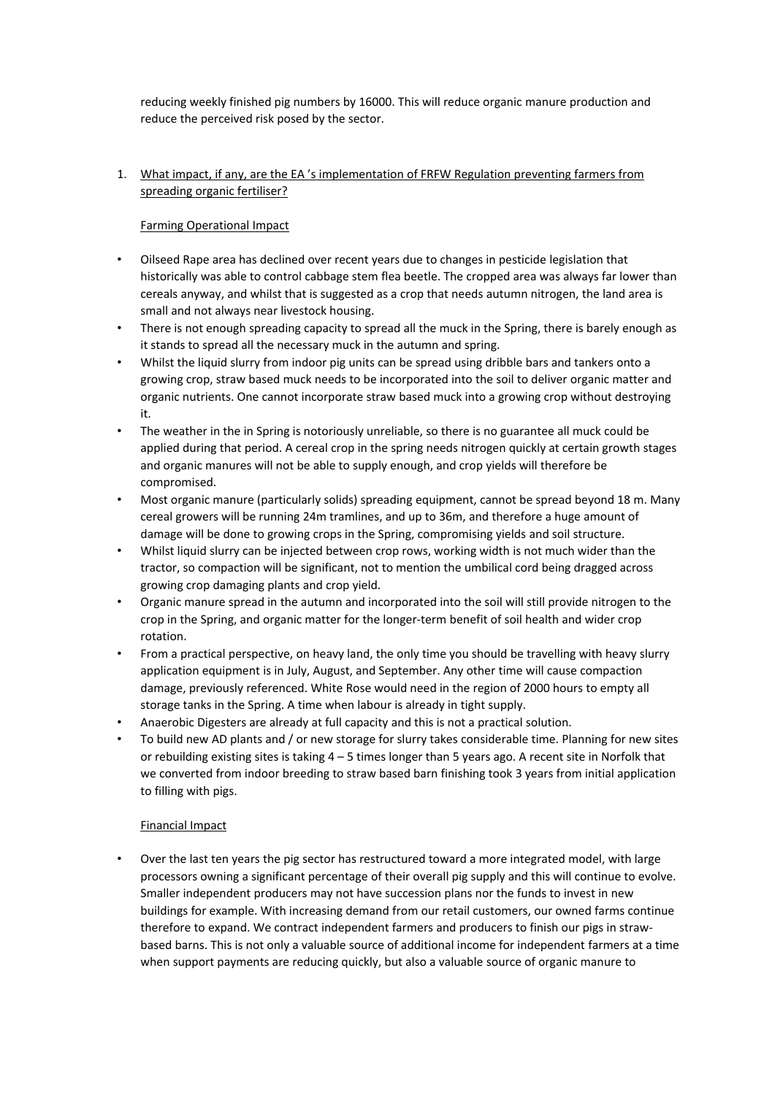reducing weekly finished pig numbers by 16000. This will reduce organic manure production and reduce the perceived risk posed by the sector.

## 1. What impact, if any, are the EA 's implementation of FRFW Regulation preventing farmers from spreading organic fertiliser?

## Farming Operational Impact

- Oilseed Rape area has declined over recent years due to changes in pesticide legislation that historically was able to control cabbage stem flea beetle. The cropped area was always far lower than cereals anyway, and whilst that is suggested as a crop that needs autumn nitrogen, the land area is small and not always near livestock housing.
- There is not enough spreading capacity to spread all the muck in the Spring, there is barely enough as it stands to spread all the necessary muck in the autumn and spring.
- Whilst the liquid slurry from indoor pig units can be spread using dribble bars and tankers onto a growing crop, straw based muck needs to be incorporated into the soil to deliver organic matter and organic nutrients. One cannot incorporate straw based muck into a growing crop without destroying it.
- The weather in the in Spring is notoriously unreliable, so there is no guarantee all muck could be applied during that period. A cereal crop in the spring needs nitrogen quickly at certain growth stages and organic manures will not be able to supply enough, and crop yields will therefore be compromised.
- Most organic manure (particularly solids) spreading equipment, cannot be spread beyond 18 m. Many cereal growers will be running 24m tramlines, and up to 36m, and therefore a huge amount of damage will be done to growing crops in the Spring, compromising yields and soil structure.
- Whilst liquid slurry can be injected between crop rows, working width is not much wider than the tractor, so compaction will be significant, not to mention the umbilical cord being dragged across growing crop damaging plants and crop yield.
- Organic manure spread in the autumn and incorporated into the soil will still provide nitrogen to the crop in the Spring, and organic matter for the longer-term benefit of soil health and wider crop rotation.
- From a practical perspective, on heavy land, the only time you should be travelling with heavy slurry application equipment is in July, August, and September. Any other time will cause compaction damage, previously referenced. White Rose would need in the region of 2000 hours to empty all storage tanks in the Spring. A time when labour is already in tight supply.
- Anaerobic Digesters are already at full capacity and this is not a practical solution.
- To build new AD plants and / or new storage for slurry takes considerable time. Planning for new sites or rebuilding existing sites is taking 4 – 5 times longer than 5 years ago. A recent site in Norfolk that we converted from indoor breeding to straw based barn finishing took 3 years from initial application to filling with pigs.

#### Financial Impact

• Over the last ten years the pig sector has restructured toward a more integrated model, with large processors owning a significant percentage of their overall pig supply and this will continue to evolve. Smaller independent producers may not have succession plans nor the funds to invest in new buildings for example. With increasing demand from our retail customers, our owned farms continue therefore to expand. We contract independent farmers and producers to finish our pigs in strawbased barns. This is not only a valuable source of additional income for independent farmers at a time when support payments are reducing quickly, but also a valuable source of organic manure to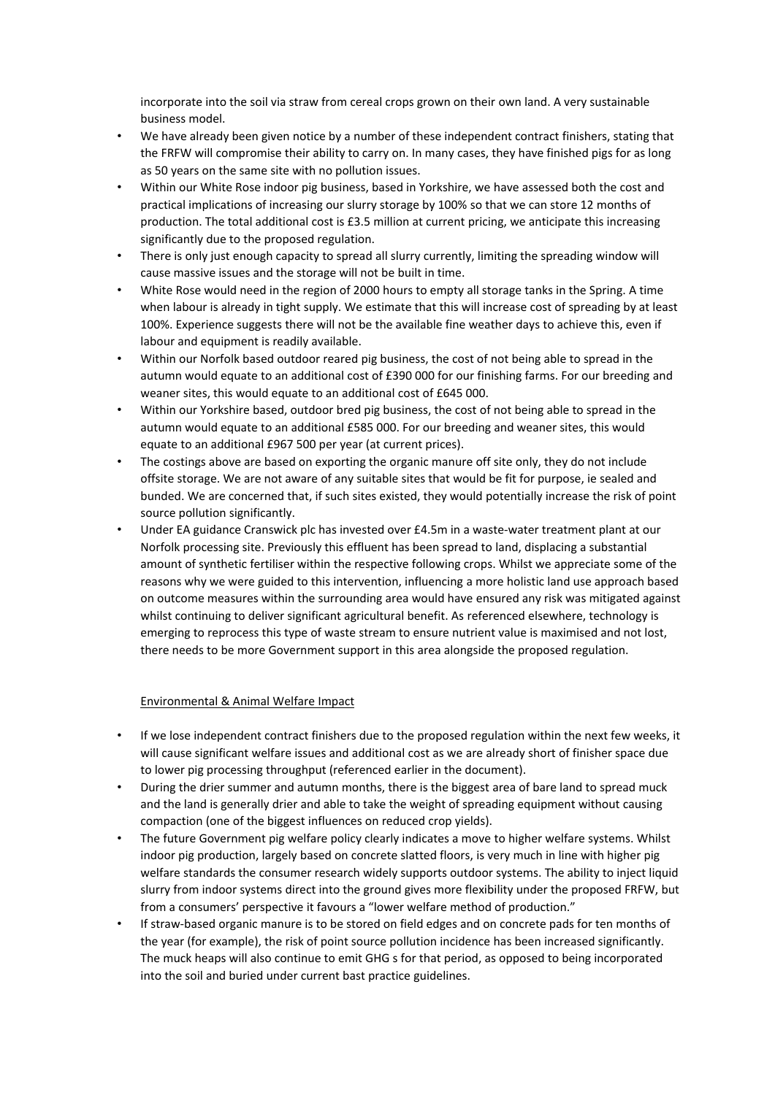incorporate into the soil via straw from cereal crops grown on their own land. A very sustainable business model.

- We have already been given notice by a number of these independent contract finishers, stating that the FRFW will compromise their ability to carry on. In many cases, they have finished pigs for as long as 50 years on the same site with no pollution issues.
- Within our White Rose indoor pig business, based in Yorkshire, we have assessed both the cost and practical implications of increasing our slurry storage by 100% so that we can store 12 months of production. The total additional cost is £3.5 million at current pricing, we anticipate this increasing significantly due to the proposed regulation.
- There is only just enough capacity to spread all slurry currently, limiting the spreading window will cause massive issues and the storage will not be built in time.
- White Rose would need in the region of 2000 hours to empty all storage tanks in the Spring. A time when labour is already in tight supply. We estimate that this will increase cost of spreading by at least 100%. Experience suggests there will not be the available fine weather days to achieve this, even if labour and equipment is readily available.
- Within our Norfolk based outdoor reared pig business, the cost of not being able to spread in the autumn would equate to an additional cost of £390 000 for our finishing farms. For our breeding and weaner sites, this would equate to an additional cost of £645 000.
- Within our Yorkshire based, outdoor bred pig business, the cost of not being able to spread in the autumn would equate to an additional £585 000. For our breeding and weaner sites, this would equate to an additional £967 500 per year (at current prices).
- The costings above are based on exporting the organic manure off site only, they do not include offsite storage. We are not aware of any suitable sites that would be fit for purpose, ie sealed and bunded. We are concerned that, if such sites existed, they would potentially increase the risk of point source pollution significantly.
- Under EA guidance Cranswick plc has invested over £4.5m in a waste-water treatment plant at our Norfolk processing site. Previously this effluent has been spread to land, displacing a substantial amount of synthetic fertiliser within the respective following crops. Whilst we appreciate some of the reasons why we were guided to this intervention, influencing a more holistic land use approach based on outcome measures within the surrounding area would have ensured any risk was mitigated against whilst continuing to deliver significant agricultural benefit. As referenced elsewhere, technology is emerging to reprocess this type of waste stream to ensure nutrient value is maximised and not lost, there needs to be more Government support in this area alongside the proposed regulation.

# Environmental & Animal Welfare Impact

- If we lose independent contract finishers due to the proposed regulation within the next few weeks, it will cause significant welfare issues and additional cost as we are already short of finisher space due to lower pig processing throughput (referenced earlier in the document).
- During the drier summer and autumn months, there is the biggest area of bare land to spread muck and the land is generally drier and able to take the weight of spreading equipment without causing compaction (one of the biggest influences on reduced crop yields).
- The future Government pig welfare policy clearly indicates a move to higher welfare systems. Whilst indoor pig production, largely based on concrete slatted floors, is very much in line with higher pig welfare standards the consumer research widely supports outdoor systems. The ability to inject liquid slurry from indoor systems direct into the ground gives more flexibility under the proposed FRFW, but from a consumers' perspective it favours a "lower welfare method of production."
- If straw-based organic manure is to be stored on field edges and on concrete pads for ten months of the year (for example), the risk of point source pollution incidence has been increased significantly. The muck heaps will also continue to emit GHG s for that period, as opposed to being incorporated into the soil and buried under current bast practice guidelines.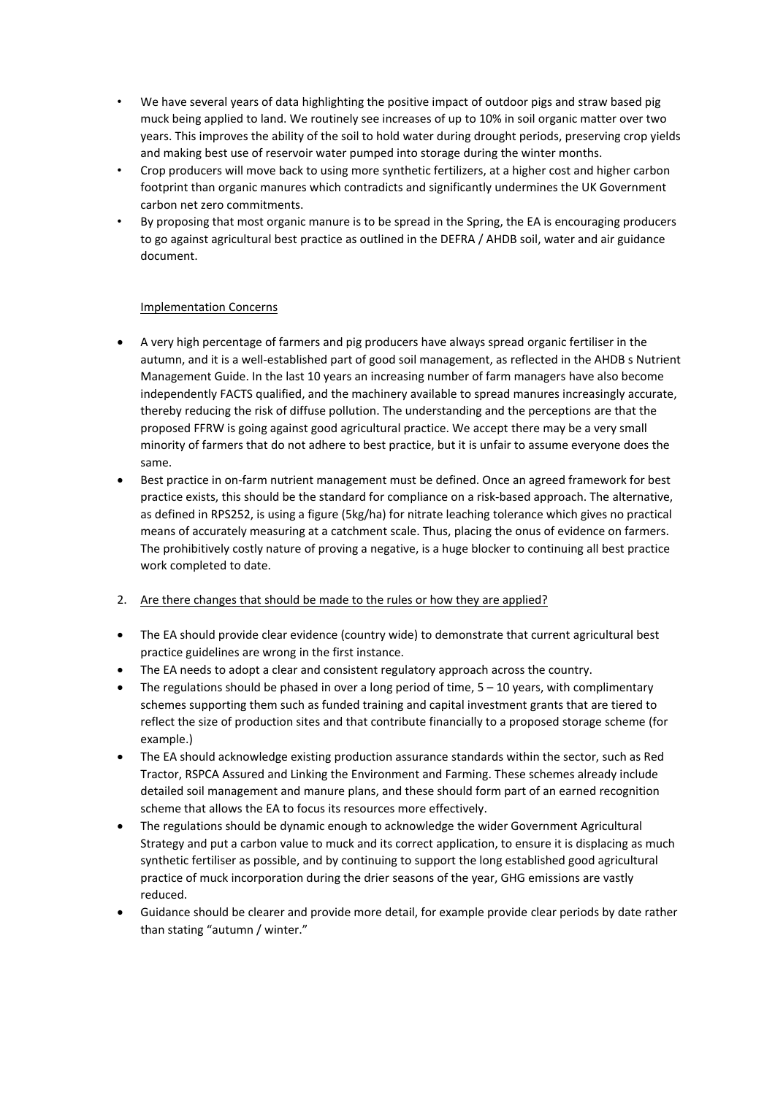- We have several years of data highlighting the positive impact of outdoor pigs and straw based pig muck being applied to land. We routinely see increases of up to 10% in soil organic matter over two years. This improves the ability of the soil to hold water during drought periods, preserving crop yields and making best use of reservoir water pumped into storage during the winter months.
- Crop producers will move back to using more synthetic fertilizers, at a higher cost and higher carbon footprint than organic manures which contradicts and significantly undermines the UK Government carbon net zero commitments.
- By proposing that most organic manure is to be spread in the Spring, the EA is encouraging producers to go against agricultural best practice as outlined in the DEFRA / AHDB soil, water and air guidance document.

#### Implementation Concerns

- A very high percentage of farmers and pig producers have always spread organic fertiliser in the autumn, and it is a well-established part of good soil management, as reflected in the AHDB s Nutrient Management Guide. In the last 10 years an increasing number of farm managers have also become independently FACTS qualified, and the machinery available to spread manures increasingly accurate, thereby reducing the risk of diffuse pollution. The understanding and the perceptions are that the proposed FFRW is going against good agricultural practice. We accept there may be a very small minority of farmers that do not adhere to best practice, but it is unfair to assume everyone does the same.
- Best practice in on-farm nutrient management must be defined. Once an agreed framework for best practice exists, this should be the standard for compliance on a risk-based approach. The alternative, as defined in RPS252, is using a figure (5kg/ha) for nitrate leaching tolerance which gives no practical means of accurately measuring at a catchment scale. Thus, placing the onus of evidence on farmers. The prohibitively costly nature of proving a negative, is a huge blocker to continuing all best practice work completed to date.
- 2. Are there changes that should be made to the rules or how they are applied?
- The EA should provide clear evidence (country wide) to demonstrate that current agricultural best practice guidelines are wrong in the first instance.
- The EA needs to adopt a clear and consistent regulatory approach across the country.
- The regulations should be phased in over a long period of time, 5 10 years, with complimentary schemes supporting them such as funded training and capital investment grants that are tiered to reflect the size of production sites and that contribute financially to a proposed storage scheme (for example.)
- The EA should acknowledge existing production assurance standards within the sector, such as Red Tractor, RSPCA Assured and Linking the Environment and Farming. These schemes already include detailed soil management and manure plans, and these should form part of an earned recognition scheme that allows the EA to focus its resources more effectively.
- The regulations should be dynamic enough to acknowledge the wider Government Agricultural Strategy and put a carbon value to muck and its correct application, to ensure it is displacing as much synthetic fertiliser as possible, and by continuing to support the long established good agricultural practice of muck incorporation during the drier seasons of the year, GHG emissions are vastly reduced.
- Guidance should be clearer and provide more detail, for example provide clear periods by date rather than stating "autumn / winter."